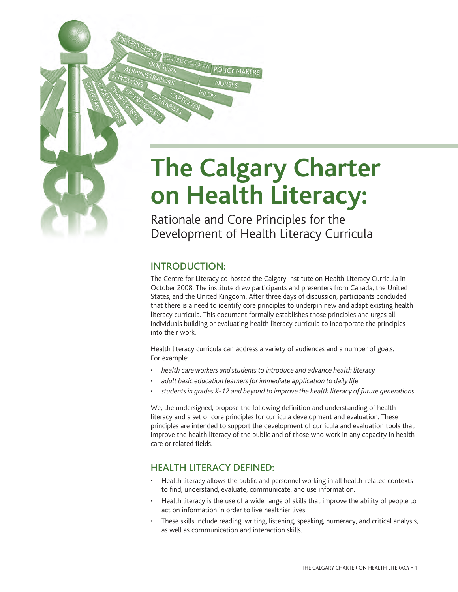# **The Calgary Charter on Health Literacy:**

Rationale and Core Principles for the Development of Health Literacy Curricula

## INTRODUCTION:

The Centre for Literacy co-hosted the Calgary Institute on Health Literacy Curricula in October 2008. The institute drew participants and presenters from Canada, the United States, and the United Kingdom. After three days of discussion, participants concluded that there is a need to identify core principles to underpin new and adapt existing health literacy curricula. This document formally establishes those principles and urges all individuals building or evaluating health literacy curricula to incorporate the principles into their work.

Health literacy curricula can address a variety of audiences and a number of goals. For example:

- *health care workers and students to introduce and advance health literacy*
- *adult basic education learners for immediate application to daily life*
- *students in grades K-12 and beyond to improve the health literacy of future generations*

We, the undersigned, propose the following definition and understanding of health literacy and a set of core principles for curricula development and evaluation. These principles are intended to support the development of curricula and evaluation tools that improve the health literacy of the public and of those who work in any capacity in health care or related fields.

## HEALTH LITERACY DEFINED:

- Health literacy allows the public and personnel working in all health-related contexts to find, understand, evaluate, communicate, and use information.
- Health literacy is the use of a wide range of skills that improve the ability of people to act on information in order to live healthier lives.
- These skills include reading, writing, listening, speaking, numeracy, and critical analysis, as well as communication and interaction skills.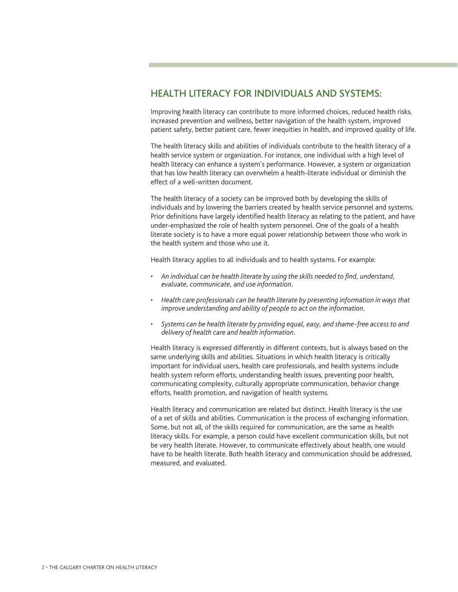## HEALTH LITERACY FOR INDIVIDUALS AND SYSTEMS:

Improving health literacy can contribute to more informed choices, reduced health risks, increased prevention and wellness, better navigation of the health system, improved patient safety, better patient care, fewer inequities in health, and improved quality of life.

The health literacy skills and abilities of individuals contribute to the health literacy of a health service system or organization. For instance, one individual with a high level of health literacy can enhance a system's performance. However, a system or organization that has low health literacy can overwhelm a health-literate individual or diminish the effect of a well-written document.

The health literacy of a society can be improved both by developing the skills of individuals and by lowering the barriers created by health service personnel and systems. Prior definitions have largely identified health literacy as relating to the patient, and have under-emphasized the role of health system personnel. One of the goals of a health literate society is to have a more equal power relationship between those who work in the health system and those who use it.

Health literacy applies to all individuals and to health systems. For example:

- *An individual can be health literate by using the skills needed to find, understand, evaluate, communicate, and use information.*
- *Health care professionals can be health literate by presenting information in ways that improve understanding and ability of people to act on the information.*
- *Systems can be health literate by providing equal, easy, and shame-free access to and delivery of health care and health information.*

Health literacy is expressed differently in different contexts, but is always based on the same underlying skills and abilities. Situations in which health literacy is critically important for individual users, health care professionals, and health systems include health system reform efforts, understanding health issues, preventing poor health, communicating complexity, culturally appropriate communication, behavior change efforts, health promotion, and navigation of health systems.

Health literacy and communication are related but distinct. Health literacy is the use of a set of skills and abilities. Communication is the process of exchanging information. Some, but not all, of the skills required for communication, are the same as health literacy skills. For example, a person could have excellent communication skills, but not be very health literate. However, to communicate effectively about health, one would have to be health literate. Both health literacy and communication should be addressed, measured, and evaluated.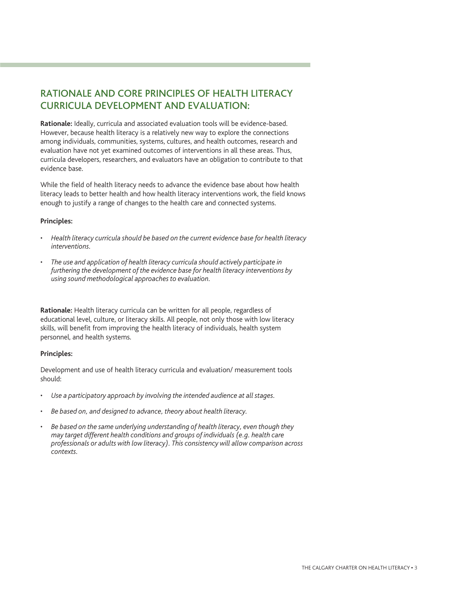# RATIONALE AND CORE PRINCIPLES OF HEALTH LITERACY CURRICULA DEVELOPMENT AND EVALUATION:

**Rationale:** Ideally, curricula and associated evaluation tools will be evidence-based. However, because health literacy is a relatively new way to explore the connections among individuals, communities, systems, cultures, and health outcomes, research and evaluation have not yet examined outcomes of interventions in all these areas. Thus, curricula developers, researchers, and evaluators have an obligation to contribute to that evidence base.

While the field of health literacy needs to advance the evidence base about how health literacy leads to better health and how health literacy interventions work, the field knows enough to justify a range of changes to the health care and connected systems.

#### **Principles:**

- *Health literacy curricula should be based on the current evidence base for health literacy interventions.*
- *The use and application of health literacy curricula should actively participate in furthering the development of the evidence base for health literacy interventions by using sound methodological approaches to evaluation.*

**Rationale:** Health literacy curricula can be written for all people, regardless of educational level, culture, or literacy skills. All people, not only those with low literacy skills, will benefit from improving the health literacy of individuals, health system personnel, and health systems.

#### **Principles:**

Development and use of health literacy curricula and evaluation/ measurement tools should:

- *Use a participatory approach by involving the intended audience at all stages.*
- *Be based on, and designed to advance, theory about health literacy.*
- *Be based on the same underlying understanding of health literacy, even though they may target different health conditions and groups of individuals (e.g. health care professionals or adults with low literacy). This consistency will allow comparison across contexts.*